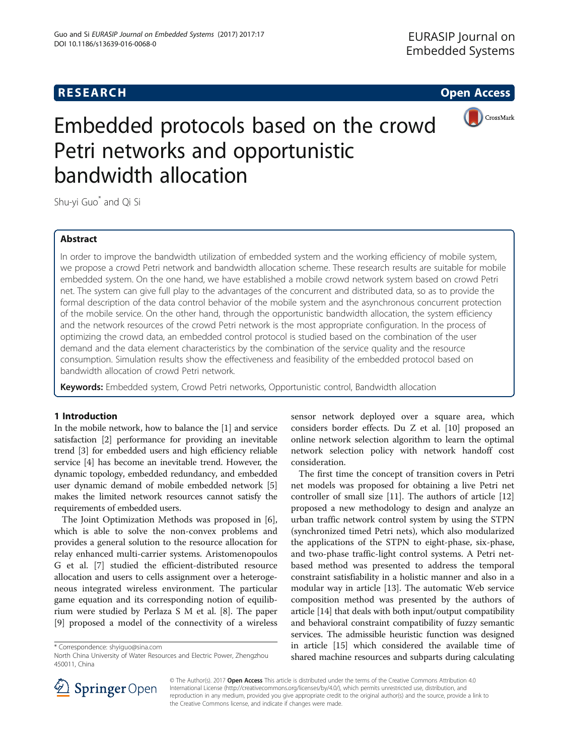# **RESEARCH CHE Open Access**



# Embedded protocols based on the crowd Petri networks and opportunistic bandwidth allocation

Shu-yi Guo\* and Qi Si

# Abstract

In order to improve the bandwidth utilization of embedded system and the working efficiency of mobile system, we propose a crowd Petri network and bandwidth allocation scheme. These research results are suitable for mobile embedded system. On the one hand, we have established a mobile crowd network system based on crowd Petri net. The system can give full play to the advantages of the concurrent and distributed data, so as to provide the formal description of the data control behavior of the mobile system and the asynchronous concurrent protection of the mobile service. On the other hand, through the opportunistic bandwidth allocation, the system efficiency and the network resources of the crowd Petri network is the most appropriate configuration. In the process of optimizing the crowd data, an embedded control protocol is studied based on the combination of the user demand and the data element characteristics by the combination of the service quality and the resource consumption. Simulation results show the effectiveness and feasibility of the embedded protocol based on bandwidth allocation of crowd Petri network.

Keywords: Embedded system, Crowd Petri networks, Opportunistic control, Bandwidth allocation

## 1 Introduction

In the mobile network, how to balance the [[1](#page-4-0)] and service satisfaction [\[2](#page-4-0)] performance for providing an inevitable trend [[3\]](#page-4-0) for embedded users and high efficiency reliable service [[4\]](#page-5-0) has become an inevitable trend. However, the dynamic topology, embedded redundancy, and embedded user dynamic demand of mobile embedded network [[5](#page-5-0)] makes the limited network resources cannot satisfy the requirements of embedded users.

The Joint Optimization Methods was proposed in [\[6](#page-5-0)], which is able to solve the non-convex problems and provides a general solution to the resource allocation for relay enhanced multi-carrier systems. Aristomenopoulos G et al. [\[7](#page-5-0)] studied the efficient-distributed resource allocation and users to cells assignment over a heterogeneous integrated wireless environment. The particular game equation and its corresponding notion of equilibrium were studied by Perlaza S M et al. [\[8](#page-5-0)]. The paper [[9\]](#page-5-0) proposed a model of the connectivity of a wireless

\* Correspondence: [shyiguo@sina.com](mailto:shyiguo@sina.com)

sensor network deployed over a square area, which considers border effects. Du Z et al. [[10\]](#page-5-0) proposed an online network selection algorithm to learn the optimal network selection policy with network handoff cost consideration.

The first time the concept of transition covers in Petri net models was proposed for obtaining a live Petri net controller of small size [[11\]](#page-5-0). The authors of article [[12](#page-5-0)] proposed a new methodology to design and analyze an urban traffic network control system by using the STPN (synchronized timed Petri nets), which also modularized the applications of the STPN to eight-phase, six-phase, and two-phase traffic-light control systems. A Petri netbased method was presented to address the temporal constraint satisfiability in a holistic manner and also in a modular way in article [\[13\]](#page-5-0). The automatic Web service composition method was presented by the authors of article [\[14\]](#page-5-0) that deals with both input/output compatibility and behavioral constraint compatibility of fuzzy semantic services. The admissible heuristic function was designed in article [[15](#page-5-0)] which considered the available time of shared machine resources and subparts during calculating



© The Author(s). 2017 Open Access This article is distributed under the terms of the Creative Commons Attribution 4.0 International License ([http://creativecommons.org/licenses/by/4.0/\)](http://creativecommons.org/licenses/by/4.0/), which permits unrestricted use, distribution, and reproduction in any medium, provided you give appropriate credit to the original author(s) and the source, provide a link to the Creative Commons license, and indicate if changes were made.

North China University of Water Resources and Electric Power, Zhengzhou 450011, China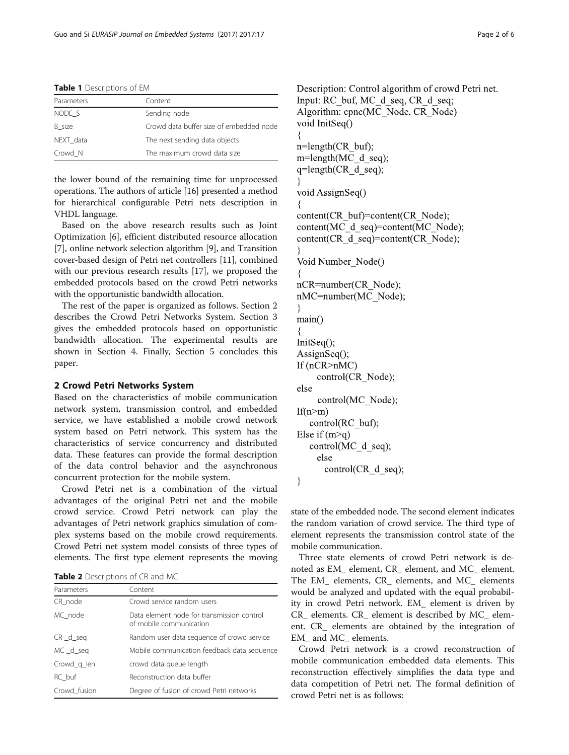<span id="page-1-0"></span>Table 1 Descriptions of EM

| Parameters | Content                                 |
|------------|-----------------------------------------|
| NODE S     | Sending node                            |
| B size     | Crowd data buffer size of embedded node |
| NEXT data  | The next sending data objects           |
| Crowd N    | The maximum crowd data size             |

the lower bound of the remaining time for unprocessed operations. The authors of article [[16](#page-5-0)] presented a method for hierarchical configurable Petri nets description in VHDL language.

Based on the above research results such as Joint Optimization [\[6](#page-5-0)], efficient distributed resource allocation [[7\]](#page-5-0), online network selection algorithm [[9](#page-5-0)], and Transition cover-based design of Petri net controllers [\[11\]](#page-5-0), combined with our previous research results [[17](#page-5-0)], we proposed the embedded protocols based on the crowd Petri networks with the opportunistic bandwidth allocation.

The rest of the paper is organized as follows. Section 2 describes the Crowd Petri Networks System. Section [3](#page-3-0) gives the embedded protocols based on opportunistic bandwidth allocation. The experimental results are shown in Section [4](#page-3-0). Finally, Section [5](#page-4-0) concludes this paper.

#### 2 Crowd Petri Networks System

Based on the characteristics of mobile communication network system, transmission control, and embedded service, we have established a mobile crowd network system based on Petri network. This system has the characteristics of service concurrency and distributed data. These features can provide the formal description of the data control behavior and the asynchronous concurrent protection for the mobile system.

Crowd Petri net is a combination of the virtual advantages of the original Petri net and the mobile crowd service. Crowd Petri network can play the advantages of Petri network graphics simulation of complex systems based on the mobile crowd requirements. Crowd Petri net system model consists of three types of elements. The first type element represents the moving

Table 2 Descriptions of CR and MC

| Parameters   | Content                                                               |
|--------------|-----------------------------------------------------------------------|
| CR node      | Crowd service random users                                            |
| MC_node      | Data element node for transmission control<br>of mobile communication |
| $CR_d$ seq   | Random user data sequence of crowd service                            |
| $MC_d$ seq   | Mobile communication feedback data sequence                           |
| Crowd_q_len  | crowd data queue length                                               |
| RC buf       | Reconstruction data buffer                                            |
| Crowd fusion | Degree of fusion of crowd Petri networks                              |

Description: Control algorithm of crowd Petri net. Input: RC buf, MC d seq, CR d seq; Algorithm: cpnc(MC Node, CR Node) void InitSeq()  $\{$  $n = length(CR)$  buf);  $m = length(MC d seq);$  $q = length(CR \ d \ seq);$ void AssignSeq() content(CR buf)=content(CR Node); content(MC d seq)=content(MC Node); content(CR d seq)=content(CR Node); Void Number Node() nCR=number(CR Node); nMC=number(MC Node); ₹  $main()$  $InitSeq()$ ;  $\text{AssignSeq}()$ ; If  $(nCR > nMC)$ control(CR Node); else control(MC\_Node); If( $n>m$ ) control(RC buf); Else if  $(m>q)$  $control(MC d seq);$ else  $control(CR d seq);$  $\left\{ \right.$ 

state of the embedded node. The second element indicates the random variation of crowd service. The third type of element represents the transmission control state of the mobile communication.

Three state elements of crowd Petri network is denoted as EM\_ element, CR\_ element, and MC\_ element. The EM\_ elements, CR\_ elements, and MC\_ elements would be analyzed and updated with the equal probability in crowd Petri network. EM\_ element is driven by CR\_ elements. CR\_ element is described by MC\_ element. CR\_ elements are obtained by the integration of EM\_ and MC\_ elements.

Crowd Petri network is a crowd reconstruction of mobile communication embedded data elements. This reconstruction effectively simplifies the data type and data competition of Petri net. The formal definition of crowd Petri net is as follows: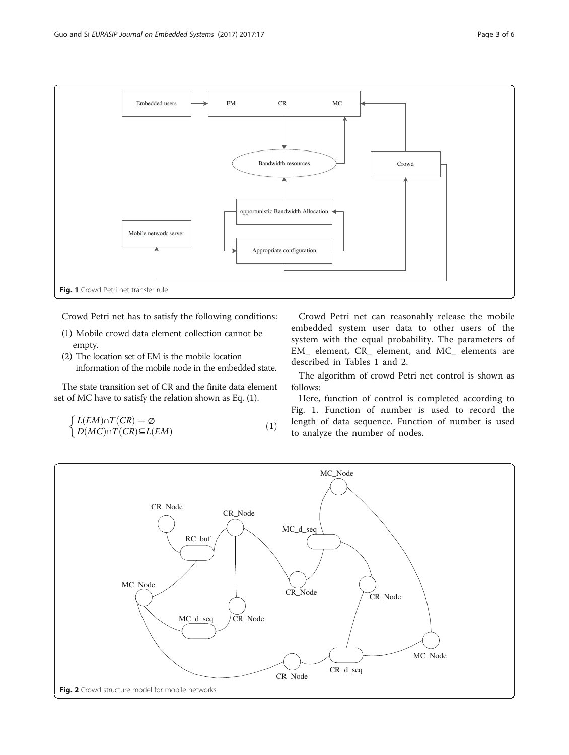<span id="page-2-0"></span>

Crowd Petri net has to satisfy the following conditions:

- (1) Mobile crowd data element collection cannot be empty.
- (2) The location set of EM is the mobile location information of the mobile node in the embedded state.

The state transition set of CR and the finite data element set of MC have to satisfy the relation shown as Eq. (1).

$$
\begin{cases}\nL(EM)\cap T(CR) = \varnothing \\
D(MC)\cap T(CR) \subseteq L(EM)\n\end{cases} (1)
$$

Crowd Petri net can reasonably release the mobile embedded system user data to other users of the system with the equal probability. The parameters of EM\_ element, CR\_ element, and MC\_ elements are described in Tables [1](#page-1-0) and [2](#page-1-0).

The algorithm of crowd Petri net control is shown as follows:

Here, function of control is completed according to Fig. 1. Function of number is used to record the length of data sequence. Function of number is used to analyze the number of nodes.

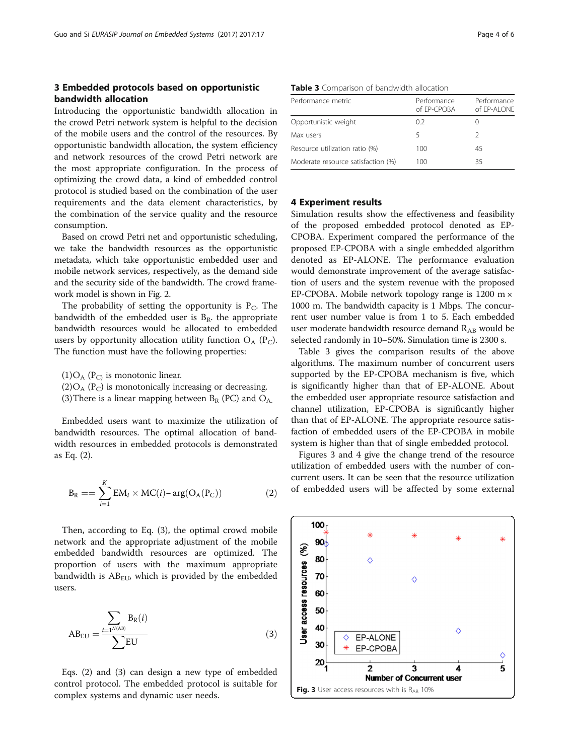### <span id="page-3-0"></span>3 Embedded protocols based on opportunistic bandwidth allocation

Introducing the opportunistic bandwidth allocation in the crowd Petri network system is helpful to the decision of the mobile users and the control of the resources. By opportunistic bandwidth allocation, the system efficiency and network resources of the crowd Petri network are the most appropriate configuration. In the process of optimizing the crowd data, a kind of embedded control protocol is studied based on the combination of the user requirements and the data element characteristics, by the combination of the service quality and the resource consumption.

Based on crowd Petri net and opportunistic scheduling, we take the bandwidth resources as the opportunistic metadata, which take opportunistic embedded user and mobile network services, respectively, as the demand side and the security side of the bandwidth. The crowd framework model is shown in Fig. [2.](#page-2-0)

The probability of setting the opportunity is  $P_C$ . The bandwidth of the embedded user is  $B_R$ . the appropriate bandwidth resources would be allocated to embedded users by opportunity allocation utility function  $O_A(P_C)$ . The function must have the following properties:

 $(1)O_A$  (P<sub>C)</sub> is monotonic linear.

 $(2)O_A$  (P<sub>C</sub>) is monotonically increasing or decreasing. (3) There is a linear mapping between  $B_R$  (PC) and  $O_A$ .

Embedded users want to maximize the utilization of bandwidth resources. The optimal allocation of bandwidth resources in embedded protocols is demonstrated as Eq. (2).

$$
B_R = = \sum_{i=1}^{K} EM_i \times MC(i) - arg(O_A(P_C))
$$
 (2)

Then, according to Eq. (3), the optimal crowd mobile network and the appropriate adjustment of the mobile embedded bandwidth resources are optimized. The proportion of users with the maximum appropriate bandwidth is  $AB_{EU}$ , which is provided by the embedded users.

$$
AB_{EU} = \frac{\sum_{i=1^{N(AB)}} B_R(i)}{\sum EU}
$$
 (3)

Eqs. (2) and (3) can design a new type of embedded control protocol. The embedded protocol is suitable for complex systems and dynamic user needs.

| Table 3 Comparison of bandwidth allocation |
|--------------------------------------------|
|--------------------------------------------|

| Performance metric                 | Performance<br>of FP-CPOBA | Performance<br>of EP-ALONE |
|------------------------------------|----------------------------|----------------------------|
| Opportunistic weight               | 0.2                        | $^{()}$                    |
| Max users                          | 5                          | 2                          |
| Resource utilization ratio (%)     | 100                        | 45                         |
| Moderate resource satisfaction (%) | 100                        | 35                         |

#### 4 Experiment results

Simulation results show the effectiveness and feasibility of the proposed embedded protocol denoted as EP-CPOBA. Experiment compared the performance of the proposed EP-CPOBA with a single embedded algorithm denoted as EP-ALONE. The performance evaluation would demonstrate improvement of the average satisfaction of users and the system revenue with the proposed EP-CPOBA. Mobile network topology range is 1200 m $\times$ 1000 m. The bandwidth capacity is 1 Mbps. The concurrent user number value is from 1 to 5. Each embedded user moderate bandwidth resource demand  $R_{AB}$  would be selected randomly in 10–50%. Simulation time is 2300 s.

Table 3 gives the comparison results of the above algorithms. The maximum number of concurrent users supported by the EP-CPOBA mechanism is five, which is significantly higher than that of EP-ALONE. About the embedded user appropriate resource satisfaction and channel utilization, EP-CPOBA is significantly higher than that of EP-ALONE. The appropriate resource satisfaction of embedded users of the EP-CPOBA in mobile system is higher than that of single embedded protocol.

Figures 3 and [4](#page-4-0) give the change trend of the resource utilization of embedded users with the number of concurrent users. It can be seen that the resource utilization of embedded users will be affected by some external

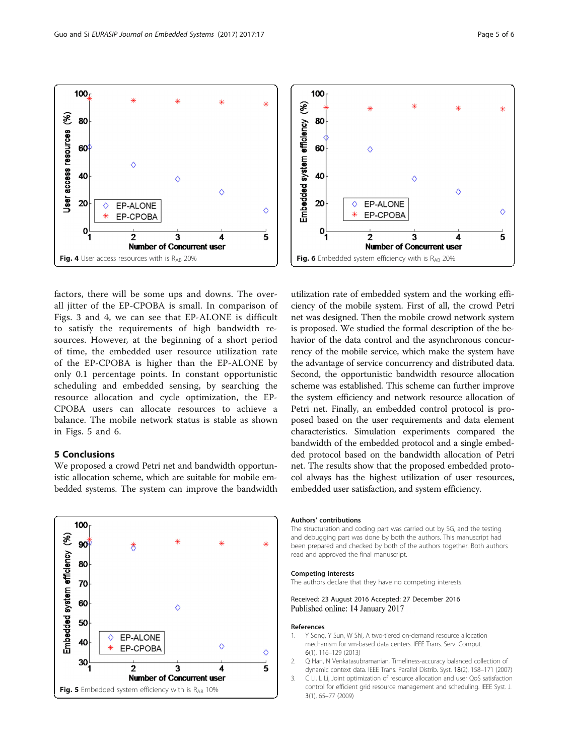<span id="page-4-0"></span>

factors, there will be some ups and downs. The overall jitter of the EP-CPOBA is small. In comparison of Figs. [3](#page-3-0) and 4, we can see that EP-ALONE is difficult to satisfy the requirements of high bandwidth resources. However, at the beginning of a short period of time, the embedded user resource utilization rate of the EP-CPOBA is higher than the EP-ALONE by only 0.1 percentage points. In constant opportunistic scheduling and embedded sensing, by searching the resource allocation and cycle optimization, the EP-CPOBA users can allocate resources to achieve a balance. The mobile network status is stable as shown in Figs. 5 and 6.

#### 5 Conclusions

We proposed a crowd Petri net and bandwidth opportunistic allocation scheme, which are suitable for mobile embedded systems. The system can improve the bandwidth





utilization rate of embedded system and the working efficiency of the mobile system. First of all, the crowd Petri net was designed. Then the mobile crowd network system is proposed. We studied the formal description of the behavior of the data control and the asynchronous concurrency of the mobile service, which make the system have the advantage of service concurrency and distributed data. Second, the opportunistic bandwidth resource allocation scheme was established. This scheme can further improve the system efficiency and network resource allocation of Petri net. Finally, an embedded control protocol is proposed based on the user requirements and data element characteristics. Simulation experiments compared the bandwidth of the embedded protocol and a single embedded protocol based on the bandwidth allocation of Petri net. The results show that the proposed embedded protocol always has the highest utilization of user resources, embedded user satisfaction, and system efficiency.

#### Authors' contributions

The structuration and coding part was carried out by SG, and the testing and debugging part was done by both the authors. This manuscript had been prepared and checked by both of the authors together. Both authors read and approved the final manuscript.

#### Competing interests

The authors declare that they have no competing interests.

Received: 23 August 2016 Accepted: 27 December 2016 Published online: 14 January 2017

#### References

- 1. Y Song, Y Sun, W Shi, A two-tiered on-demand resource allocation mechanism for vm-based data centers. IEEE Trans. Serv. Comput. 6(1), 116–129 (2013)
- 2. Q Han, N Venkatasubramanian, Timeliness-accuracy balanced collection of dynamic context data. IEEE Trans. Parallel Distrib. Syst. 18(2), 158–171 (2007)
- 3. C Li, L Li, Joint optimization of resource allocation and user QoS satisfaction control for efficient grid resource management and scheduling. IEEE Syst. J.